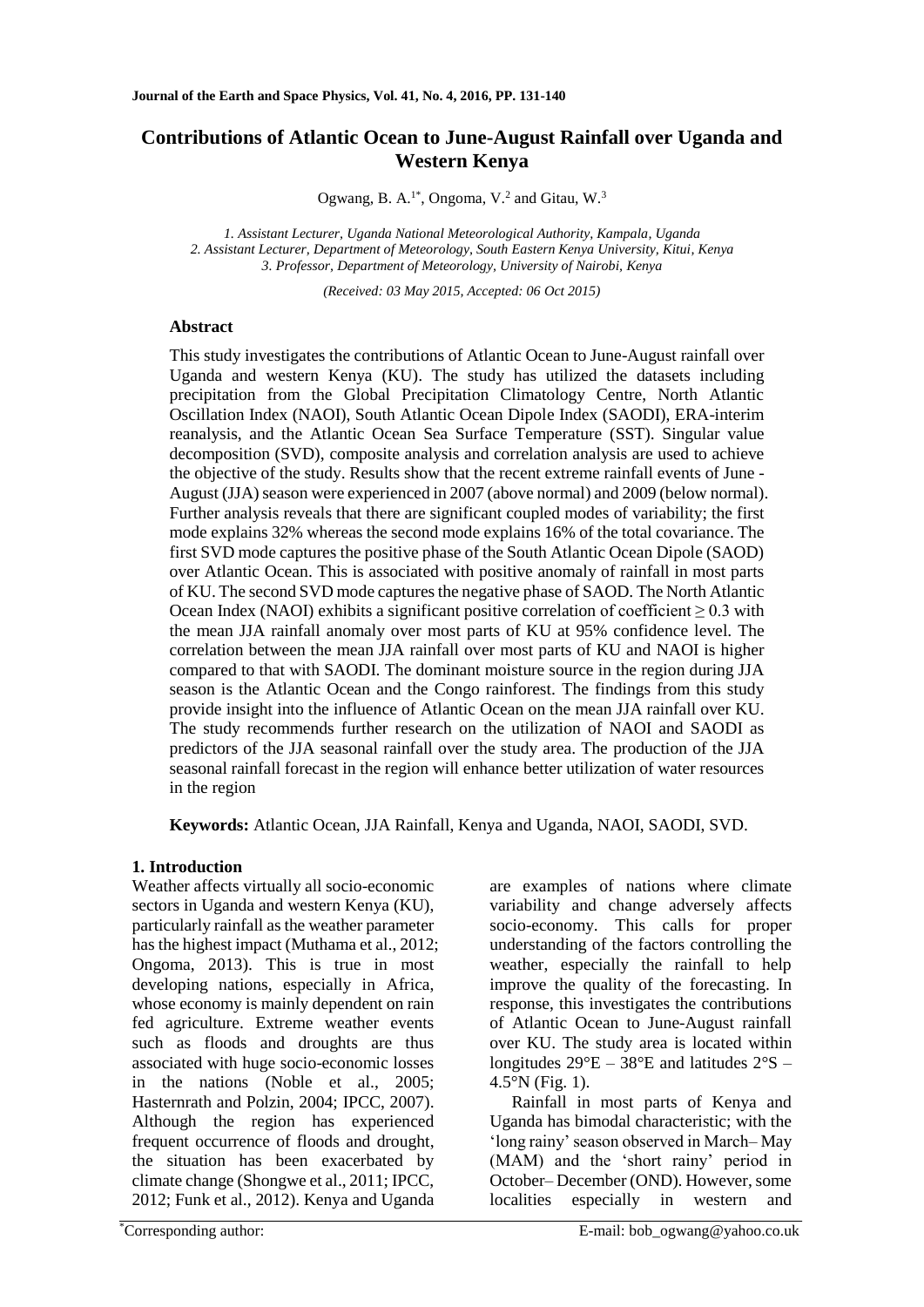# **Contributions of Atlantic Ocean to June-August Rainfall over Uganda and Western Kenya**

Ogwang, B. A.<sup>1\*</sup>, Ongoma, V.<sup>2</sup> and Gitau, W.<sup>3</sup>

*1. Assistant Lecturer, Uganda National Meteorological Authority, Kampala, Uganda 2. Assistant Lecturer, Department of Meteorology, South Eastern Kenya University, Kitui, Kenya 3. Professor, Department of Meteorology, University of Nairobi, Kenya*

*(Received: 03 May 2015, Accepted: 06 Oct 2015)*

## **Abstract**

This study investigates the contributions of Atlantic Ocean to June-August rainfall over Uganda and western Kenya (KU). The study has utilized the datasets including precipitation from the Global Precipitation Climatology Centre, North Atlantic Oscillation Index (NAOI), South Atlantic Ocean Dipole Index (SAODI), ERA-interim reanalysis, and the Atlantic Ocean Sea Surface Temperature (SST). Singular value decomposition (SVD), composite analysis and correlation analysis are used to achieve the objective of the study. Results show that the recent extreme rainfall events of June - August (JJA) season were experienced in 2007 (above normal) and 2009 (below normal). Further analysis reveals that there are significant coupled modes of variability; the first mode explains 32% whereas the second mode explains 16% of the total covariance. The first SVD mode captures the positive phase of the South Atlantic Ocean Dipole (SAOD) over Atlantic Ocean. This is associated with positive anomaly of rainfall in most parts of KU. The second SVD mode captures the negative phase of SAOD. The North Atlantic Ocean Index (NAOI) exhibits a significant positive correlation of coefficient  $\geq 0.3$  with the mean JJA rainfall anomaly over most parts of KU at 95% confidence level. The correlation between the mean JJA rainfall over most parts of KU and NAOI is higher compared to that with SAODI. The dominant moisture source in the region during JJA season is the Atlantic Ocean and the Congo rainforest. The findings from this study provide insight into the influence of Atlantic Ocean on the mean JJA rainfall over KU. The study recommends further research on the utilization of NAOI and SAODI as predictors of the JJA seasonal rainfall over the study area. The production of the JJA seasonal rainfall forecast in the region will enhance better utilization of water resources in the region

**Keywords:** Atlantic Ocean, JJA Rainfall, Kenya and Uganda, NAOI, SAODI, SVD.

## **1. Introduction**

Weather affects virtually all socio-economic sectors in Uganda and western Kenya (KU), particularly rainfall as the weather parameter has the highest impact (Muthama et al., 2012; Ongoma, 2013). This is true in most developing nations, especially in Africa, whose economy is mainly dependent on rain fed agriculture. Extreme weather events such as floods and droughts are thus associated with huge socio-economic losses in the nations (Noble et al., 2005; Hasternrath and Polzin, 2004; IPCC, 2007). Although the region has experienced frequent occurrence of floods and drought, the situation has been exacerbated by climate change (Shongwe et al., 2011; IPCC, 2012; Funk et al., 2012). Kenya and Uganda

are examples of nations where climate variability and change adversely affects socio-economy. This calls for proper understanding of the factors controlling the weather, especially the rainfall to help improve the quality of the forecasting. In response, this investigates the contributions of Atlantic Ocean to June-August rainfall over KU. The study area is located within longitudes  $29^{\circ}E - 38^{\circ}E$  and latitudes  $2^{\circ}S -$ 4.5°N (Fig. 1).

Rainfall in most parts of Kenya and Uganda has bimodal characteristic; with the 'long rainy' season observed in March– May (MAM) and the 'short rainy' period in October– December (OND). However, some localities especially in western and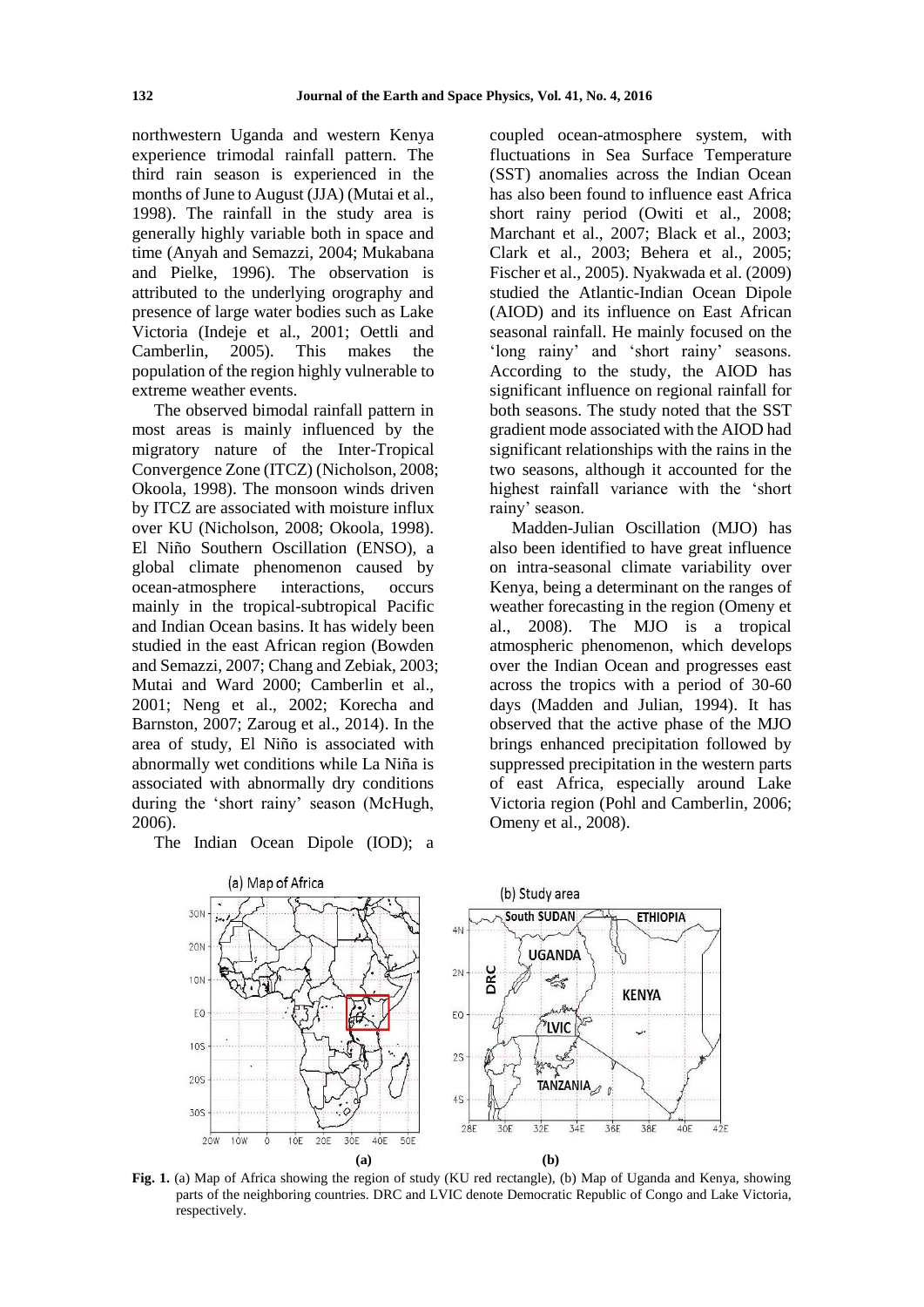northwestern Uganda and western Kenya experience trimodal rainfall pattern. The third rain season is experienced in the months of June to August (JJA) (Mutai et al., 1998). The rainfall in the study area is generally highly variable both in space and time (Anyah and Semazzi, 2004; Mukabana and Pielke, 1996). The observation is attributed to the underlying orography and presence of large water bodies such as Lake Victoria (Indeje et al., 2001; Oettli and Camberlin, 2005). This makes the population of the region highly vulnerable to extreme weather events.

The observed bimodal rainfall pattern in most areas is mainly influenced by the migratory nature of the Inter-Tropical Convergence Zone (ITCZ) (Nicholson, 2008; Okoola, 1998). The monsoon winds driven by ITCZ are associated with moisture influx over KU (Nicholson, 2008; Okoola, 1998). El Niño Southern Oscillation (ENSO), a global climate phenomenon caused by ocean-atmosphere interactions, occurs mainly in the tropical-subtropical Pacific and Indian Ocean basins. It has widely been studied in the east African region (Bowden and Semazzi, 2007; Chang and Zebiak, 2003; Mutai and Ward 2000; Camberlin et al., 2001; Neng et al., 2002; Korecha and Barnston, 2007; Zaroug et al., 2014). In the area of study, El Niño is associated with abnormally wet conditions while La Niña is associated with abnormally dry conditions during the 'short rainy' season (McHugh, 2006).

The Indian Ocean Dipole (IOD); a

coupled ocean-atmosphere system, with fluctuations in Sea Surface Temperature (SST) anomalies across the Indian Ocean has also been found to influence east Africa short rainy period (Owiti et al., 2008; Marchant et al., 2007; Black et al., 2003; Clark et al., 2003; Behera et al., 2005; Fischer et al., 2005). Nyakwada et al. (2009) studied the Atlantic-Indian Ocean Dipole (AIOD) and its influence on East African seasonal rainfall. He mainly focused on the 'long rainy' and 'short rainy' seasons. According to the study, the AIOD has significant influence on regional rainfall for both seasons. The study noted that the SST gradient mode associated with the AIOD had significant relationships with the rains in the two seasons, although it accounted for the highest rainfall variance with the 'short rainy' season.

Madden-Julian Oscillation (MJO) has also been identified to have great influence on intra-seasonal climate variability over Kenya, being a determinant on the ranges of weather forecasting in the region (Omeny et al., 2008). The MJO is a tropical atmospheric phenomenon, which develops over the Indian Ocean and progresses east across the tropics with a period of 30-60 days (Madden and Julian, 1994). It has observed that the active phase of the MJO brings enhanced precipitation followed by suppressed precipitation in the western parts of east Africa, especially around Lake Victoria region (Pohl and Camberlin, 2006; Omeny et al., 2008).



**Fig. 1.** (a) Map of Africa showing the region of study (KU red rectangle), (b) Map of Uganda and Kenya, showing parts of the neighboring countries. DRC and LVIC denote Democratic Republic of Congo and Lake Victoria, respectively.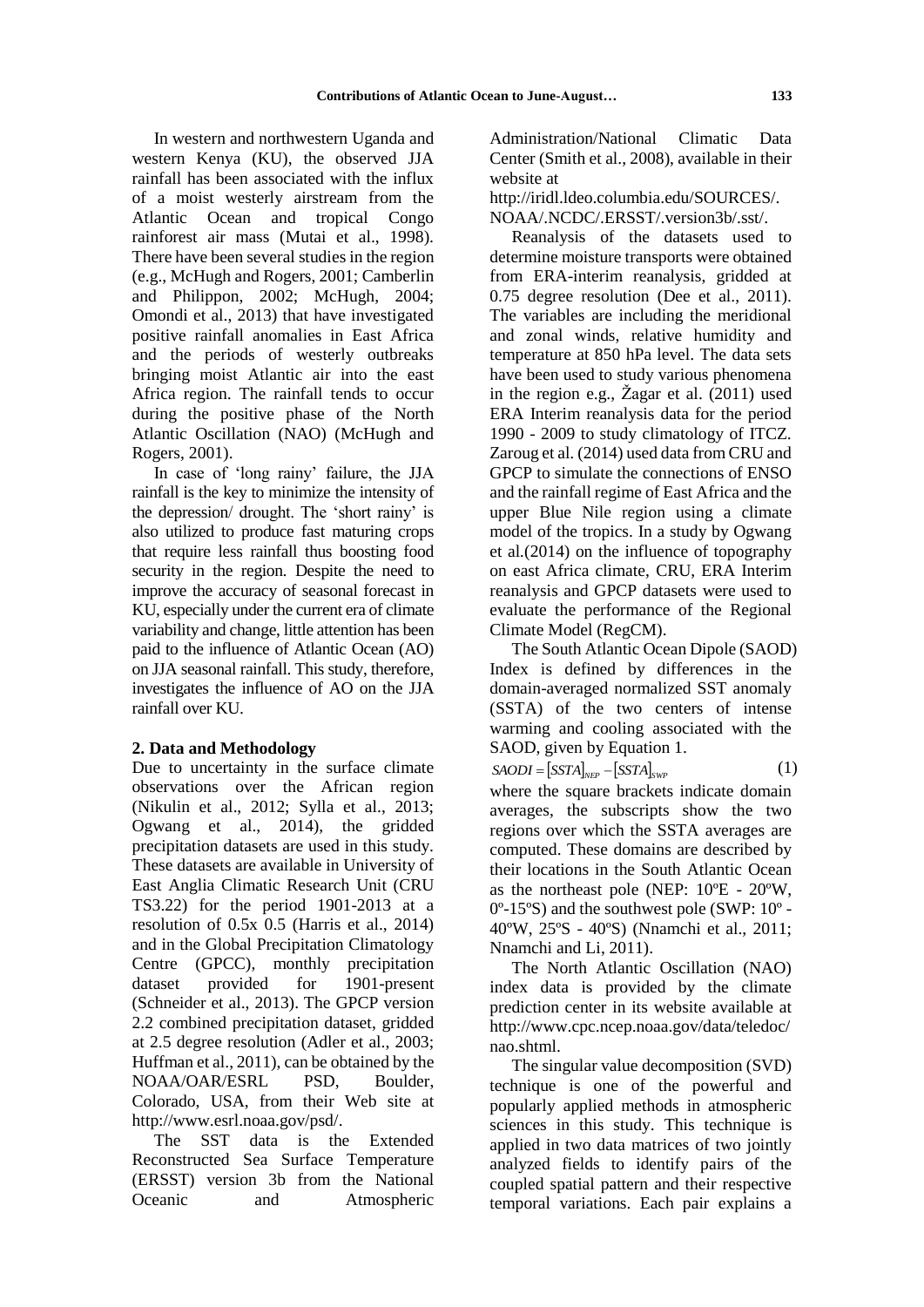In western and northwestern Uganda and western Kenya (KU), the observed JJA rainfall has been associated with the influx of a moist westerly airstream from the Atlantic Ocean and tropical Congo rainforest air mass (Mutai et al., 1998). There have been several studies in the region (e.g., McHugh and Rogers, 2001; Camberlin and Philippon, 2002; McHugh, 2004; Omondi et al., 2013) that have investigated positive rainfall anomalies in East Africa and the periods of westerly outbreaks bringing moist Atlantic air into the east Africa region. The rainfall tends to occur during the positive phase of the North Atlantic Oscillation (NAO) (McHugh and Rogers, 2001).

In case of 'long rainy' failure, the JJA rainfall is the key to minimize the intensity of the depression/ drought. The 'short rainy' is also utilized to produce fast maturing crops that require less rainfall thus boosting food security in the region. Despite the need to improve the accuracy of seasonal forecast in KU, especially under the current era of climate variability and change, little attention has been paid to the influence of Atlantic Ocean (AO) on JJA seasonal rainfall. This study, therefore, investigates the influence of AO on the JJA rainfall over KU.

## **2. Data and Methodology**

Due to uncertainty in the surface climate observations over the African region (Nikulin et al., 2012; Sylla et al., 2013; Ogwang et al., 2014), the gridded precipitation datasets are used in this study. These datasets are available in University of East Anglia Climatic Research Unit (CRU TS3.22) for the period 1901-2013 at a resolution of 0.5x 0.5 (Harris et al., 2014) and in the Global Precipitation Climatology Centre (GPCC), monthly precipitation dataset provided for 1901-present (Schneider et al., 2013). The GPCP version 2.2 combined precipitation dataset, gridded at 2.5 degree resolution (Adler et al., 2003; Huffman et al., 2011), can be obtained by the NOAA/OAR/ESRL PSD, Boulder, Colorado, USA, from their Web site at http://www.esrl.noaa.gov/psd/.

The SST data is the Extended Reconstructed Sea Surface Temperature (ERSST) version 3b from the National Oceanic and Atmospheric

Administration/National Climatic Data Center (Smith et al., 2008), available in their website at

http://iridl.ldeo.columbia.edu/SOURCES/. NOAA/.NCDC/.ERSST/.version3b/.sst/.

Reanalysis of the datasets used to determine moisture transports were obtained from ERA-interim reanalysis, gridded at 0.75 degree resolution (Dee et al., 2011). The variables are including the meridional and zonal winds, relative humidity and temperature at 850 hPa level. The data sets have been used to study various phenomena in the region e.g., Žagar et al. (2011) used ERA Interim reanalysis data for the period 1990 - 2009 to study climatology of ITCZ. Zaroug et al*.* (2014) used data from CRU and GPCP to simulate the connections of ENSO and the rainfall regime of East Africa and the upper Blue Nile region using a climate model of the tropics. In a study by Ogwang et al*.*(2014) on the influence of topography on east Africa climate, CRU, ERA Interim reanalysis and GPCP datasets were used to evaluate the performance of the Regional Climate Model (RegCM).

The South Atlantic Ocean Dipole (SAOD) Index is defined by differences in the domain-averaged normalized SST anomaly (SSTA) of the two centers of intense warming and cooling associated with the SAOD, given by Equation 1.

 $SAODI = [SSTA]_{NFP} - [SSTA]_{SWP}$  (1) where the square brackets indicate domain averages, the subscripts show the two regions over which the SSTA averages are computed. These domains are described by their locations in the South Atlantic Ocean as the northeast pole (NEP: 10ºE - 20ºW, 0º-15ºS) and the southwest pole (SWP: 10º - 40ºW, 25ºS - 40ºS) (Nnamchi et al., 2011; Nnamchi and Li, 2011).

The North Atlantic Oscillation (NAO) index data is provided by the climate prediction center in its website available at http://www.cpc.ncep.noaa.gov/data/teledoc/ nao.shtml.

The singular value decomposition (SVD) technique is one of the powerful and popularly applied methods in atmospheric sciences in this study. This technique is applied in two data matrices of two jointly analyzed fields to identify pairs of the coupled spatial pattern and their respective temporal variations. Each pair explains a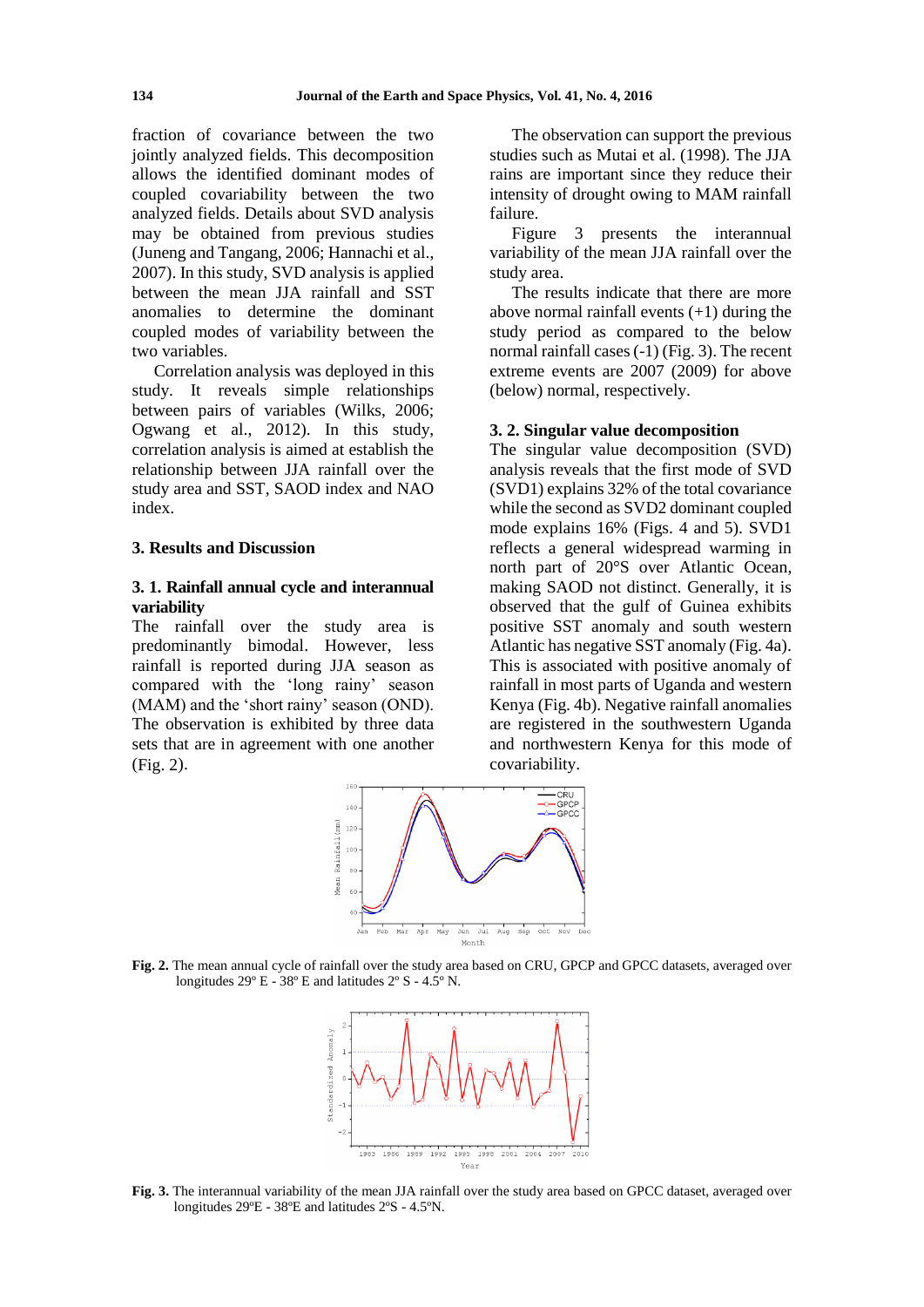fraction of covariance between the two jointly analyzed fields. This decomposition allows the identified dominant modes of coupled covariability between the two analyzed fields. Details about SVD analysis may be obtained from previous studies (Juneng and Tangang, 2006; Hannachi et al., 2007). In this study, SVD analysis is applied between the mean JJA rainfall and SST anomalies to determine the dominant coupled modes of variability between the two variables.

Correlation analysis was deployed in this study. It reveals simple relationships between pairs of variables (Wilks, 2006; Ogwang et al., 2012). In this study, correlation analysis is aimed at establish the relationship between JJA rainfall over the study area and SST, SAOD index and NAO index.

#### **3. Results and Discussion**

## **3. 1. Rainfall annual cycle and interannual variability**

The rainfall over the study area is predominantly bimodal. However, less rainfall is reported during JJA season as compared with the 'long rainy' season (MAM) and the 'short rainy' season (OND). The observation is exhibited by three data sets that are in agreement with one another  $(Fig. 2).$ 

The observation can support the previous studies such as Mutai et al. (1998). The JJA rains are important since they reduce their intensity of drought owing to MAM rainfall failure.

Figure 3 presents the interannual variability of the mean JJA rainfall over the study area.

The results indicate that there are more above normal rainfall events  $(+1)$  during the study period as compared to the below normal rainfall cases (-1) (Fig. 3). The recent extreme events are 2007 (2009) for above (below) normal, respectively.

#### **3. 2. Singular value decomposition**

The singular value decomposition (SVD) analysis reveals that the first mode of SVD (SVD1) explains 32% of the total covariance while the second as SVD2 dominant coupled mode explains 16% (Figs. 4 and 5). SVD1 reflects a general widespread warming in north part of 20°S over Atlantic Ocean, making SAOD not distinct. Generally, it is observed that the gulf of Guinea exhibits positive SST anomaly and south western Atlantic has negative SST anomaly (Fig. 4a). This is associated with positive anomaly of rainfall in most parts of Uganda and western Kenya (Fig. 4b). Negative rainfall anomalies are registered in the southwestern Uganda and northwestern Kenya for this mode of covariability.



**Fig. 2.** The mean annual cycle of rainfall over the study area based on CRU, GPCP and GPCC datasets, averaged over longitudes 29º E - 38º E and latitudes 2º S - 4.5º N.



**Fig. 3.** The interannual variability of the mean JJA rainfall over the study area based on GPCC dataset, averaged over longitudes 29ºE - 38ºE and latitudes 2ºS - 4.5ºN.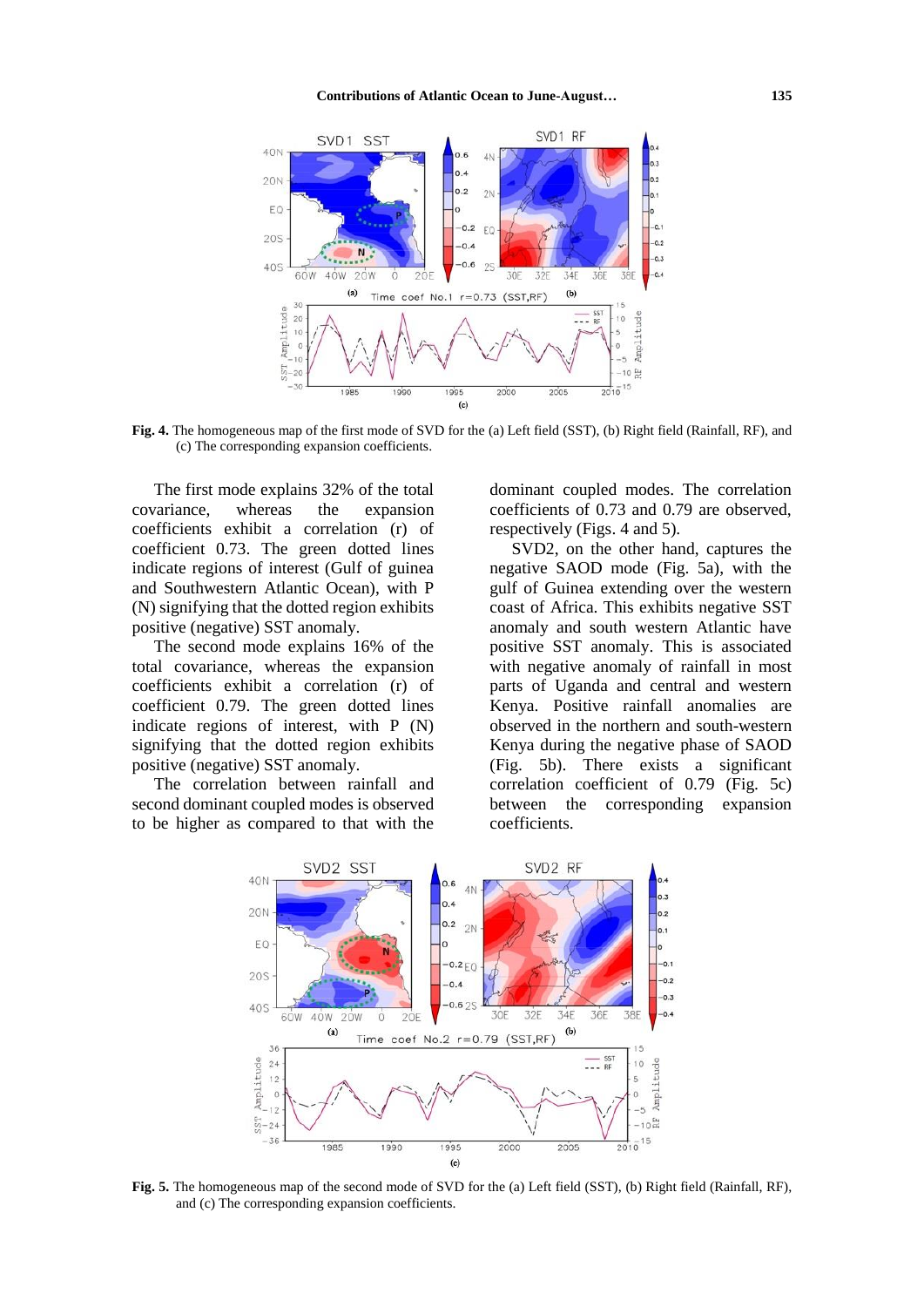

**Fig. 4.** The homogeneous map of the first mode of SVD for the (a) Left field (SST), (b) Right field (Rainfall, RF), and (c) The corresponding expansion coefficients.

The first mode explains 32% of the total covariance, whereas the expansion coefficients exhibit a correlation (r) of coefficient 0.73. The green dotted lines indicate regions of interest (Gulf of guinea and Southwestern Atlantic Ocean), with P (N) signifying that the dotted region exhibits positive (negative) SST anomaly.

The second mode explains 16% of the total covariance, whereas the expansion coefficients exhibit a correlation (r) of coefficient 0.79. The green dotted lines indicate regions of interest, with P (N) signifying that the dotted region exhibits positive (negative) SST anomaly.

The correlation between rainfall and second dominant coupled modes is observed to be higher as compared to that with the

dominant coupled modes. The correlation coefficients of 0.73 and 0.79 are observed, respectively (Figs. 4 and 5).

SVD2, on the other hand, captures the negative SAOD mode (Fig. 5a), with the gulf of Guinea extending over the western coast of Africa. This exhibits negative SST anomaly and south western Atlantic have positive SST anomaly. This is associated with negative anomaly of rainfall in most parts of Uganda and central and western Kenya. Positive rainfall anomalies are observed in the northern and south-western Kenya during the negative phase of SAOD (Fig. 5b). There exists a significant correlation coefficient of 0.79 (Fig. 5c) between the corresponding expansion coefficients.



**Fig. 5.** The homogeneous map of the second mode of SVD for the (a) Left field (SST), (b) Right field (Rainfall, RF), and (c) The corresponding expansion coefficients.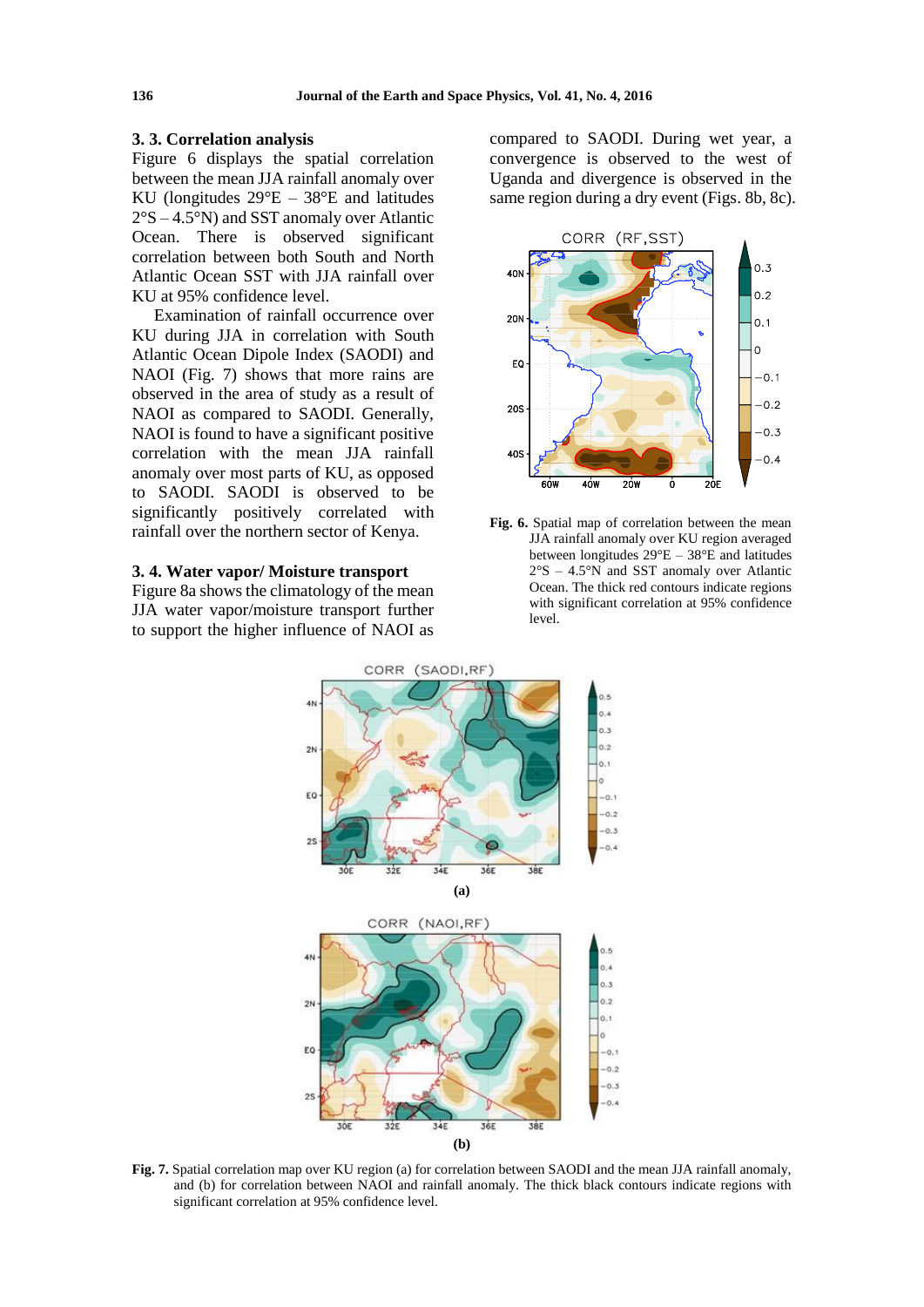#### **3. 3. Correlation analysis**

Figure 6 displays the spatial correlation between the mean JJA rainfall anomaly over KU (longitudes  $29^{\circ}E - 38^{\circ}E$  and latitudes 2°S – 4.5°N) and SST anomaly over Atlantic Ocean. There is observed significant correlation between both South and North Atlantic Ocean SST with JJA rainfall over KU at 95% confidence level.

Examination of rainfall occurrence over KU during JJA in correlation with South Atlantic Ocean Dipole Index (SAODI) and NAOI (Fig. 7) shows that more rains are observed in the area of study as a result of NAOI as compared to SAODI. Generally, NAOI is found to have a significant positive correlation with the mean JJA rainfall anomaly over most parts of KU, as opposed to SAODI. SAODI is observed to be significantly positively correlated with rainfall over the northern sector of Kenya.

## **3. 4. Water vapor/ Moisture transport**

Figure 8a shows the climatology of the mean JJA water vapor/moisture transport further to support the higher influence of NAOI as

compared to SAODI. During wet year, a convergence is observed to the west of Uganda and divergence is observed in the same region during a dry event (Figs. 8b, 8c).



**Fig. 6.** Spatial map of correlation between the mean JJA rainfall anomaly over KU region averaged between longitudes  $29^{\circ}E - 38^{\circ}E$  and latitudes  $2^{\circ}S - 4.5^{\circ}\overline{N}$  and SST anomaly over Atlantic Ocean. The thick red contours indicate regions with significant correlation at 95% confidence level.



**Fig. 7.** Spatial correlation map over KU region (a) for correlation between SAODI and the mean JJA rainfall anomaly, and (b) for correlation between NAOI and rainfall anomaly. The thick black contours indicate regions with significant correlation at 95% confidence level.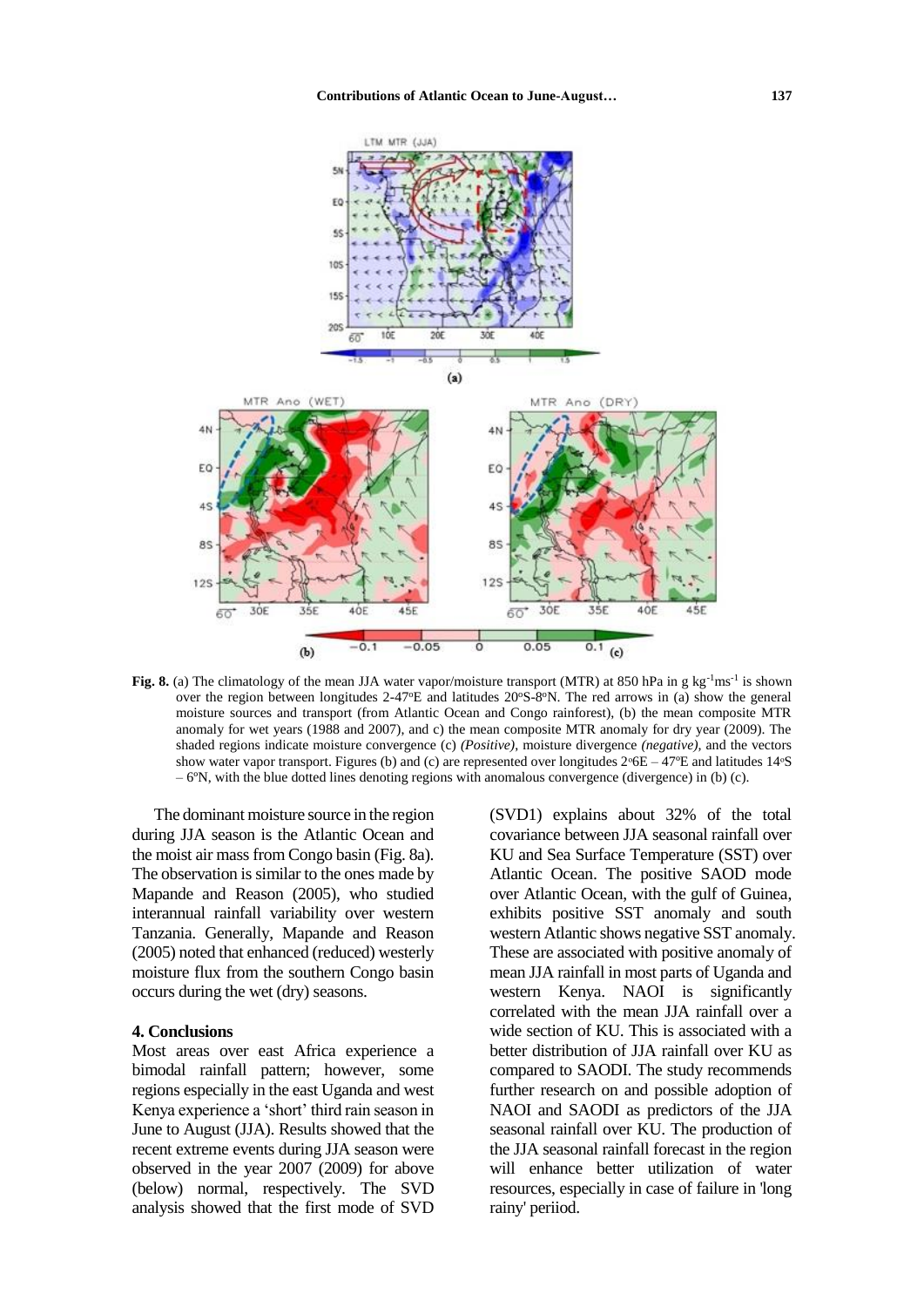

EC EC  $4S$  $4S$  $8<sup>c</sup>$ 85 **12S** 125 3OE 40E 30E 35E 455 40E 45E 356 60 60  $0.05$  $0.1$  (e)  $-0.1$  $-0.05$  $\overline{\circ}$  $(b)$ 

**Fig. 8.** (a) The climatology of the mean JJA water vapor/moisture transport (MTR) at 850 hPa in g kg<sup>-1</sup>ms<sup>-1</sup> is shown over the region between longitudes 2-47<sup>o</sup>E and latitudes 20<sup>o</sup>S-8<sup>o</sup>N. The red arrows in (a) show the general moisture sources and transport (from Atlantic Ocean and Congo rainforest), (b) the mean composite MTR anomaly for wet years (1988 and 2007), and c) the mean composite MTR anomaly for dry year (2009). The shaded regions indicate moisture convergence (c) *(Positive)*, moisture divergence *(negative),* and the vectors show water vapor transport. Figures (b) and (c) are represented over longitudes  $2\degree 6E - 47\degree E$  and latitudes  $14\degree S$ – 6ºN, with the blue dotted lines denoting regions with anomalous convergence (divergence) in (b) (c).

The dominant moisture source in the region during JJA season is the Atlantic Ocean and the moist air mass from Congo basin (Fig. 8a). The observation is similar to the ones made by Mapande and Reason (2005), who studied interannual rainfall variability over western Tanzania. Generally, Mapande and Reason (2005) noted that enhanced (reduced) westerly moisture flux from the southern Congo basin occurs during the wet (dry) seasons.

#### **4. Conclusions**

Most areas over east Africa experience a bimodal rainfall pattern; however, some regions especially in the east Uganda and west Kenya experience a 'short' third rain season in June to August (JJA). Results showed that the recent extreme events during JJA season were observed in the year 2007 (2009) for above (below) normal, respectively. The SVD analysis showed that the first mode of SVD

(SVD1) explains about 32% of the total covariance between JJA seasonal rainfall over KU and Sea Surface Temperature (SST) over Atlantic Ocean. The positive SAOD mode over Atlantic Ocean, with the gulf of Guinea, exhibits positive SST anomaly and south western Atlantic shows negative SST anomaly. These are associated with positive anomaly of mean JJA rainfall in most parts of Uganda and western Kenya. NAOI is significantly correlated with the mean JJA rainfall over a wide section of KU. This is associated with a better distribution of JJA rainfall over KU as compared to SAODI. The study recommends further research on and possible adoption of NAOI and SAODI as predictors of the JJA seasonal rainfall over KU. The production of the JJA seasonal rainfall forecast in the region will enhance better utilization of water resources, especially in case of failure in 'long rainy' periiod.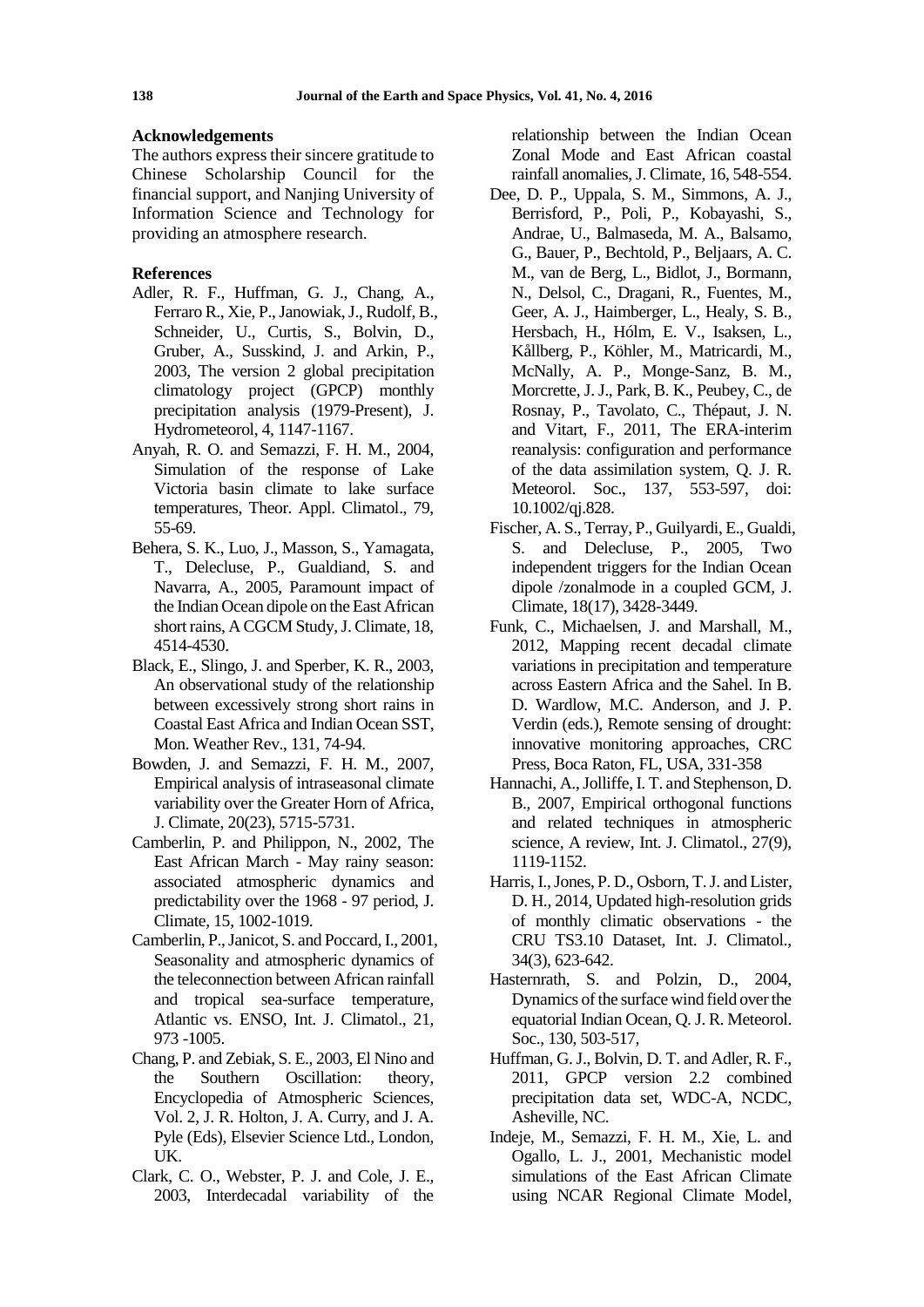## **Acknowledgements**

The authors express their sincere gratitude to Chinese Scholarship Council for the financial support, and Nanjing University of Information Science and Technology for providing an atmosphere research.

## **References**

- Adler, R. F., Huffman, G. J., Chang, A., Ferraro R., Xie, P., Janowiak,J., Rudolf, B., Schneider, U., Curtis, S., Bolvin, D., Gruber, A., Susskind, J. and Arkin, P., 2003, The version 2 global precipitation climatology project (GPCP) monthly precipitation analysis (1979-Present), J. Hydrometeorol, 4, 1147-1167.
- Anyah, R. O. and Semazzi, F. H. M., 2004, Simulation of the response of Lake Victoria basin climate to lake surface temperatures, Theor. Appl. Climatol., 79, 55-69.
- Behera, S. K., Luo, J., Masson, S., Yamagata, T., Delecluse, P., Gualdiand, S. and Navarra, A., 2005, Paramount impact of the Indian Ocean dipole on the East African short rains, A CGCM Study, J. Climate, 18, 4514-4530.
- Black, E., Slingo, J. and Sperber, K. R., 2003, An observational study of the relationship between excessively strong short rains in Coastal East Africa and Indian Ocean SST, Mon. Weather Rev., 131, 74-94.
- Bowden, J. and Semazzi, F. H. M., 2007, Empirical analysis of intraseasonal climate variability over the Greater Horn of Africa, J. Climate, 20(23), 5715-5731.
- Camberlin, P. and Philippon, N., 2002, The East African March - May rainy season: associated atmospheric dynamics and predictability over the 1968 - 97 period, J. Climate, 15, 1002-1019.
- Camberlin, P., Janicot, S. and Poccard, I., 2001, Seasonality and atmospheric dynamics of the teleconnection between African rainfall and tropical sea-surface temperature, Atlantic vs. ENSO, Int. J. Climatol., 21, 973 -1005.
- Chang, P. and Zebiak, S. E., 2003, El Nino and the Southern Oscillation: theory, Encyclopedia of Atmospheric Sciences, Vol. 2, J. R. Holton, J. A. Curry, and J. A. Pyle (Eds), Elsevier Science Ltd., London, UK.
- Clark, C. O., Webster, P. J. and Cole, J. E., 2003, Interdecadal variability of the

relationship between the Indian Ocean Zonal Mode and East African coastal rainfall anomalies, J. Climate, 16, 548-554.

- Dee, D. P., Uppala, S. M., Simmons, A. J., Berrisford, P., Poli, P., Kobayashi, S., Andrae, U., Balmaseda, M. A., Balsamo, G., Bauer, P., Bechtold, P., Beljaars, A. C. M., van de Berg, L., Bidlot, J., Bormann, N., Delsol, C., Dragani, R., Fuentes, M., Geer, A. J., Haimberger, L., Healy, S. B., Hersbach, H., Hólm, E. V., Isaksen, L., Kållberg, P., Köhler, M., Matricardi, M., McNally, A. P., Monge-Sanz, B. M., Morcrette, J. J., Park, B. K., Peubey, C., de Rosnay, P., Tavolato, C., Thépaut, J. N. and Vitart, F., 2011, The ERA-interim reanalysis: configuration and performance of the data assimilation system, Q. J. R. Meteorol. Soc., 137, 553-597, doi: 10.1002/qj.828.
- Fischer, A. S., Terray, P., Guilyardi, E., Gualdi, S. and Delecluse, P., 2005, Two independent triggers for the Indian Ocean dipole /zonalmode in a coupled GCM, J. Climate, 18(17), 3428-3449.
- Funk, C., Michaelsen, J. and Marshall, M., 2012, Mapping recent decadal climate variations in precipitation and temperature across Eastern Africa and the Sahel. In B. D. Wardlow, M.C. Anderson, and J. P. Verdin (eds.), Remote sensing of drought: innovative monitoring approaches, CRC Press, Boca Raton, FL, USA, 331-358
- Hannachi, A., Jolliffe, I. T. and Stephenson, D. B., 2007, Empirical orthogonal functions and related techniques in atmospheric science, A review, Int. J. Climatol., 27(9), 1119-1152.
- Harris, I., Jones, P. D., Osborn, T. J. and Lister, D. H., 2014, Updated high-resolution grids of monthly climatic observations - the CRU TS3.10 Dataset, Int. J. Climatol., 34(3), 623-642.
- Hasternrath, S. and Polzin, D., 2004, Dynamics of the surface wind field over the equatorial Indian Ocean, Q. J. R. Meteorol. Soc., 130, 503-517,
- Huffman, G. J., Bolvin, D. T. and Adler, R. F., 2011, GPCP version 2.2 combined precipitation data set, WDC-A, NCDC, Asheville, NC.
- Indeje, M., Semazzi, F. H. M., Xie, L. and Ogallo, L. J., 2001, Mechanistic model simulations of the East African Climate using NCAR Regional Climate Model,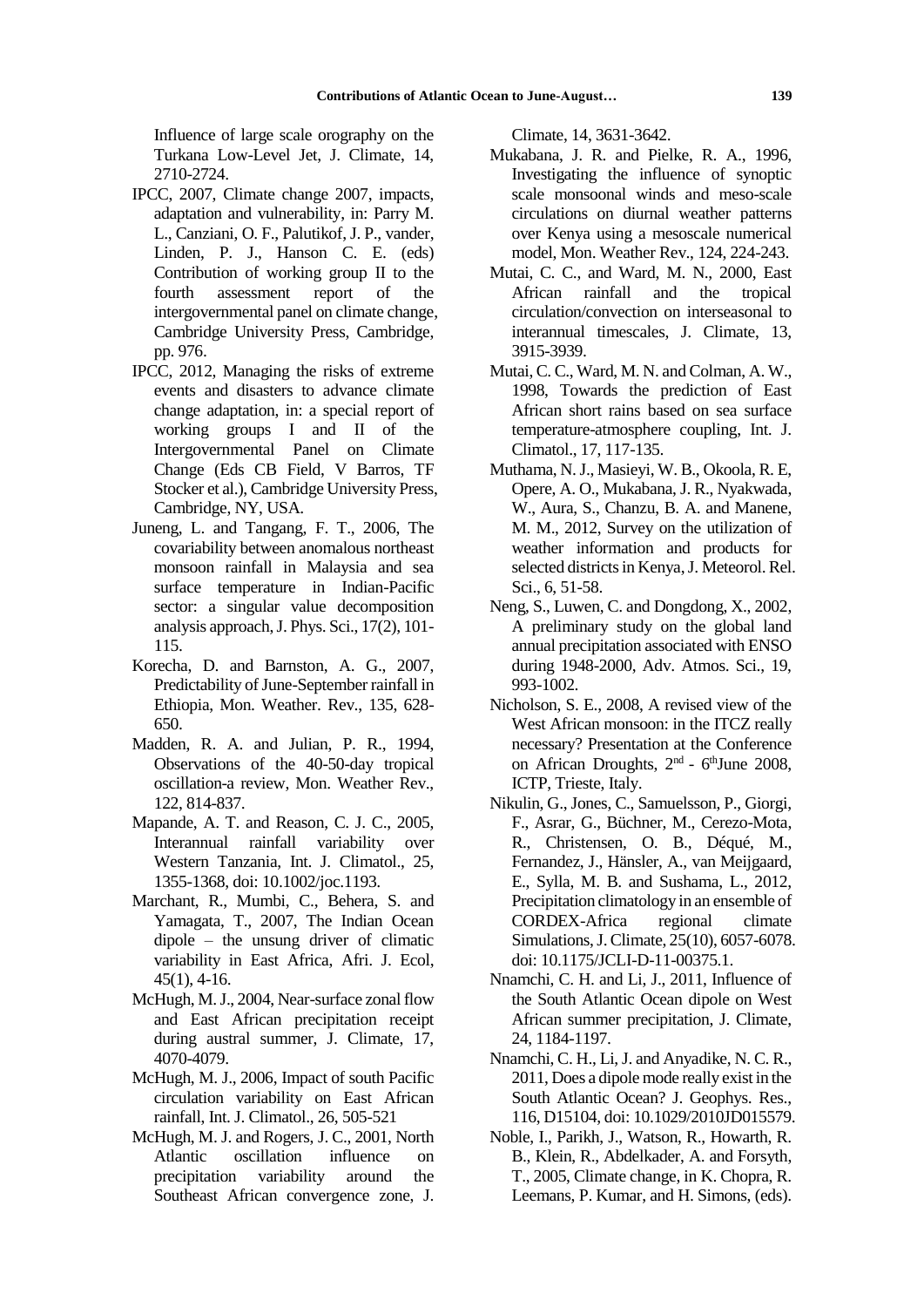Influence of large scale orography on the Turkana Low-Level Jet, J. Climate, 14, 2710-2724.

- IPCC, 2007, Climate change 2007, impacts, adaptation and vulnerability, in: Parry M. L., Canziani, O. F., Palutikof, J. P., vander, Linden, P. J., Hanson C. E. (eds) Contribution of working group II to the fourth assessment report of the intergovernmental panel on climate change, Cambridge University Press, Cambridge, pp. 976.
- IPCC, 2012, Managing the risks of extreme events and disasters to advance climate change adaptation, in: a special report of working groups I and II of the Intergovernmental Panel on Climate Change (Eds CB Field, V Barros, TF Stocker et al.), Cambridge University Press, Cambridge, NY, USA.
- Juneng, L. and Tangang, F. T., 2006, The covariability between anomalous northeast monsoon rainfall in Malaysia and sea surface temperature in Indian-Pacific sector: a singular value decomposition analysis approach, J. Phys. Sci., 17(2), 101- 115.
- Korecha, D. and Barnston, A. G., 2007, Predictability of June-September rainfall in Ethiopia, Mon. Weather. Rev., 135, 628- 650.
- Madden, R. A. and Julian, P. R., 1994, Observations of the 40-50-day tropical oscillation-a review, Mon. Weather Rev., 122, 814-837.
- Mapande, A. T. and Reason, C. J. C., 2005, Interannual rainfall variability over Western Tanzania, Int. J. Climatol., 25, 1355-1368, doi: 10.1002/joc.1193.
- Marchant, R., Mumbi, C., Behera, S. and Yamagata, T., 2007, The Indian Ocean dipole – the unsung driver of climatic variability in East Africa, Afri. J. Ecol, 45(1), 4-16.
- McHugh, M. J., 2004, Near-surface zonal flow and East African precipitation receipt during austral summer, J. Climate, 17, 4070-4079.
- McHugh, M. J., 2006, Impact of south Pacific circulation variability on East African rainfall, Int. J. Climatol., 26, 505-521
- McHugh, M. J. and Rogers, J. C., 2001, North Atlantic oscillation influence on precipitation variability around the Southeast African convergence zone, J.

Climate, 14, 3631-3642.

- Mukabana, J. R. and Pielke, R. A., 1996, Investigating the influence of synoptic scale monsoonal winds and meso-scale circulations on diurnal weather patterns over Kenya using a mesoscale numerical model, Mon. Weather Rev., 124, 224-243.
- Mutai, C. C., and Ward, M. N., 2000, East African rainfall and the tropical circulation/convection on interseasonal to interannual timescales, J. Climate, 13, 3915-3939.
- Mutai, C. C., Ward, M. N. and Colman, A. W., 1998, Towards the prediction of East African short rains based on sea surface temperature-atmosphere coupling, Int. J. Climatol., 17, 117-135.
- Muthama, N.J., Masieyi, W. B., Okoola, R. E, Opere, A. O., Mukabana, J. R., Nyakwada, W., Aura, S., Chanzu, B. A. and Manene, M. M., 2012, Survey on the utilization of weather information and products for selected districts in Kenya, J. Meteorol. Rel. Sci., 6, 51-58.
- Neng, S., Luwen, C. and Dongdong, X., 2002, A preliminary study on the global land annual precipitation associated with ENSO during 1948-2000, Adv. Atmos. Sci., 19, 993-1002.
- Nicholson, S. E., 2008, A revised view of the West African monsoon: in the ITCZ really necessary? Presentation at the Conference on African Droughts, 2<sup>nd</sup> - 6<sup>th</sup>June 2008, ICTP, Trieste, Italy.
- Nikulin, G., Jones, C., Samuelsson, P., Giorgi, F., Asrar, G., Büchner, M., Cerezo-Mota, R., Christensen, O. B., Déqué, M., Fernandez, J., Hänsler, A., van Meijgaard, E., Sylla, M. B. and Sushama, L., 2012, Precipitation climatology in an ensemble of CORDEX-Africa regional climate Simulations, J. Climate, 25(10), 6057-6078. doi: 10.1175/JCLI-D-11-00375.1.
- Nnamchi, C. H. and Li, J., 2011, Influence of the South Atlantic Ocean dipole on West African summer precipitation, J. Climate, 24, 1184-1197.
- Nnamchi, C. H., Li, J. and Anyadike, N. C. R., 2011, Does a dipole mode really exist in the South Atlantic Ocean? J. Geophys. Res., 116, D15104, doi: 10.1029/2010JD015579.
- Noble, I., Parikh, J., Watson, R., Howarth, R. B., Klein, R., Abdelkader, A. and Forsyth, T., 2005, Climate change, in K. Chopra, R. Leemans, P. Kumar, and H. Simons, (eds).